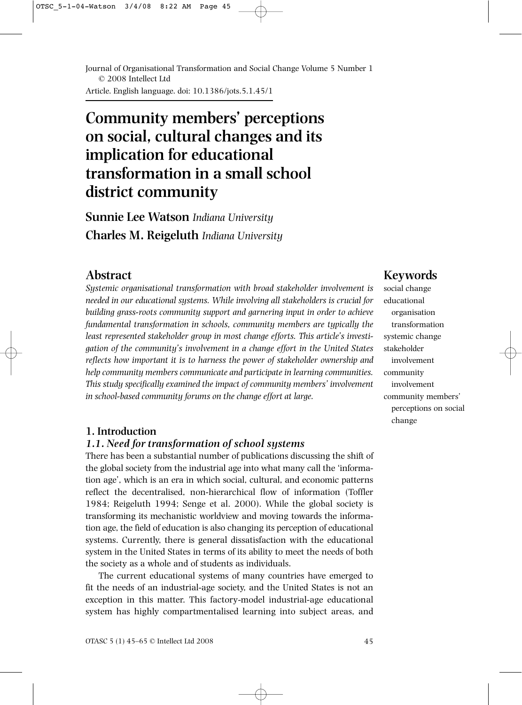Article. English language. doi: 10.1386/jots.5.1.45/1

# **Community members' perceptions on social, cultural changes and its implication for educational transformation in a small school district community**

**Sunnie Lee Watson** *Indiana University* **Charles M. Reigeluth** *Indiana University*

## **Abstract**

*Systemic organisational transformation with broad stakeholder involvement is needed in our educational systems. While involving all stakeholders is crucial for building grass-roots community support and garnering input in order to achieve fundamental transformation in schools, community members are typically the least represented stakeholder group in most change efforts. This article's investigation of the community's involvement in a change effort in the United States reflects how important it is to harness the power of stakeholder ownership and help community members communicate and participate in learning communities. This study specifically examined the impact of community members' involvement in school-based community forums on the change effort at large.*

## **1. Introduction**

## *1.1. Need for transformation of school systems*

There has been a substantial number of publications discussing the shift of the global society from the industrial age into what many call the 'information age', which is an era in which social, cultural, and economic patterns reflect the decentralised, non-hierarchical flow of information (Toffler 1984; Reigeluth 1994; Senge et al. 2000). While the global society is transforming its mechanistic worldview and moving towards the information age, the field of education is also changing its perception of educational systems. Currently, there is general dissatisfaction with the educational system in the United States in terms of its ability to meet the needs of both the society as a whole and of students as individuals.

The current educational systems of many countries have emerged to fit the needs of an industrial-age society, and the United States is not an exception in this matter. This factory-model industrial-age educational system has highly compartmentalised learning into subject areas, and

## **Keywords**

social change educational organisation transformation systemic change stakeholder involvement community involvement community members' perceptions on social change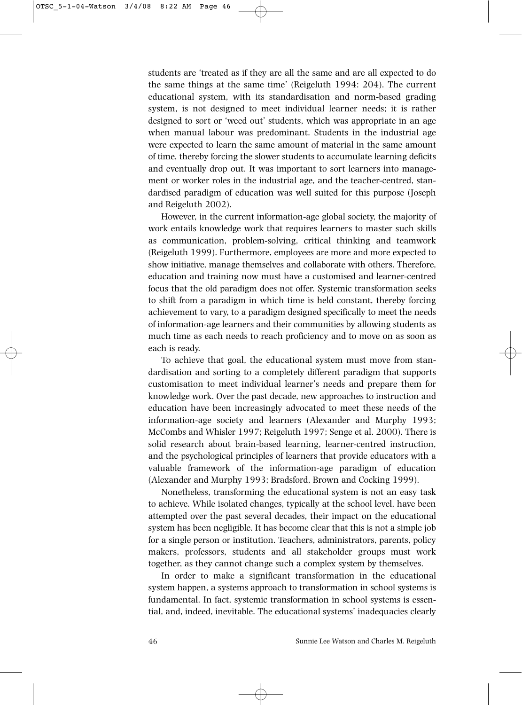students are 'treated as if they are all the same and are all expected to do the same things at the same time' (Reigeluth 1994: 204). The current educational system, with its standardisation and norm-based grading system, is not designed to meet individual learner needs; it is rather designed to sort or 'weed out' students, which was appropriate in an age when manual labour was predominant. Students in the industrial age were expected to learn the same amount of material in the same amount of time, thereby forcing the slower students to accumulate learning deficits and eventually drop out. It was important to sort learners into management or worker roles in the industrial age, and the teacher-centred, standardised paradigm of education was well suited for this purpose (Joseph and Reigeluth 2002).

However, in the current information-age global society, the majority of work entails knowledge work that requires learners to master such skills as communication, problem-solving, critical thinking and teamwork (Reigeluth 1999). Furthermore, employees are more and more expected to show initiative, manage themselves and collaborate with others. Therefore, education and training now must have a customised and learner-centred focus that the old paradigm does not offer. Systemic transformation seeks to shift from a paradigm in which time is held constant, thereby forcing achievement to vary, to a paradigm designed specifically to meet the needs of information-age learners and their communities by allowing students as much time as each needs to reach proficiency and to move on as soon as each is ready.

To achieve that goal, the educational system must move from standardisation and sorting to a completely different paradigm that supports customisation to meet individual learner's needs and prepare them for knowledge work. Over the past decade, new approaches to instruction and education have been increasingly advocated to meet these needs of the information-age society and learners (Alexander and Murphy 1993; McCombs and Whisler 1997; Reigeluth 1997; Senge et al. 2000). There is solid research about brain-based learning, learner-centred instruction, and the psychological principles of learners that provide educators with a valuable framework of the information-age paradigm of education (Alexander and Murphy 1993; Bradsford, Brown and Cocking 1999).

Nonetheless, transforming the educational system is not an easy task to achieve. While isolated changes, typically at the school level, have been attempted over the past several decades, their impact on the educational system has been negligible. It has become clear that this is not a simple job for a single person or institution. Teachers, administrators, parents, policy makers, professors, students and all stakeholder groups must work together, as they cannot change such a complex system by themselves.

In order to make a significant transformation in the educational system happen, a systems approach to transformation in school systems is fundamental. In fact, systemic transformation in school systems is essential, and, indeed, inevitable. The educational systems' inadequacies clearly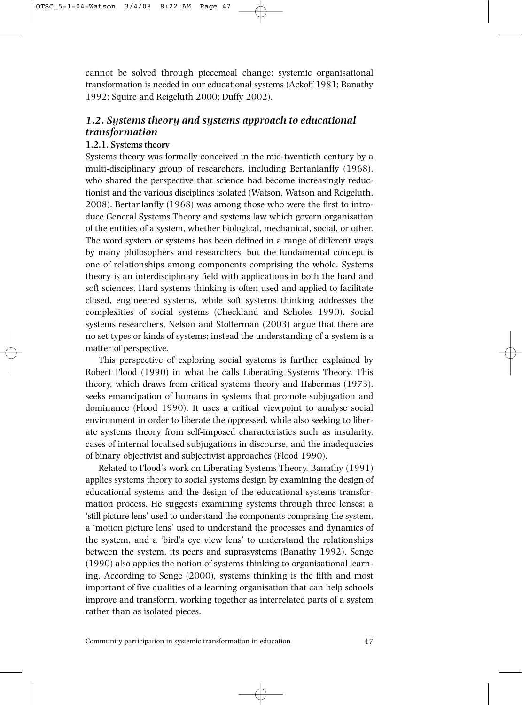cannot be solved through piecemeal change; systemic organisational transformation is needed in our educational systems (Ackoff 1981; Banathy 1992; Squire and Reigeluth 2000; Duffy 2002).

## *1.2. Systems theory and systems approach to educational transformation*

#### **1.2.1. Systems theory**

Systems theory was formally conceived in the mid-twentieth century by a multi-disciplinary group of researchers, including Bertanlanffy (1968), who shared the perspective that science had become increasingly reductionist and the various disciplines isolated (Watson, Watson and Reigeluth, 2008). Bertanlanffy (1968) was among those who were the first to introduce General Systems Theory and systems law which govern organisation of the entities of a system, whether biological, mechanical, social, or other. The word system or systems has been defined in a range of different ways by many philosophers and researchers, but the fundamental concept is one of relationships among components comprising the whole. Systems theory is an interdisciplinary field with applications in both the hard and soft sciences. Hard systems thinking is often used and applied to facilitate closed, engineered systems, while soft systems thinking addresses the complexities of social systems (Checkland and Scholes 1990). Social systems researchers, Nelson and Stolterman (2003) argue that there are no set types or kinds of systems; instead the understanding of a system is a matter of perspective.

This perspective of exploring social systems is further explained by Robert Flood (1990) in what he calls Liberating Systems Theory. This theory, which draws from critical systems theory and Habermas (1973), seeks emancipation of humans in systems that promote subjugation and dominance (Flood 1990). It uses a critical viewpoint to analyse social environment in order to liberate the oppressed, while also seeking to liberate systems theory from self-imposed characteristics such as insularity, cases of internal localised subjugations in discourse, and the inadequacies of binary objectivist and subjectivist approaches (Flood 1990).

Related to Flood's work on Liberating Systems Theory, Banathy (1991) applies systems theory to social systems design by examining the design of educational systems and the design of the educational systems transformation process. He suggests examining systems through three lenses: a 'still picture lens' used to understand the components comprising the system, a 'motion picture lens' used to understand the processes and dynamics of the system, and a 'bird's eye view lens' to understand the relationships between the system, its peers and suprasystems (Banathy 1992). Senge (1990) also applies the notion of systems thinking to organisational learning. According to Senge (2000), systems thinking is the fifth and most important of five qualities of a learning organisation that can help schools improve and transform, working together as interrelated parts of a system rather than as isolated pieces.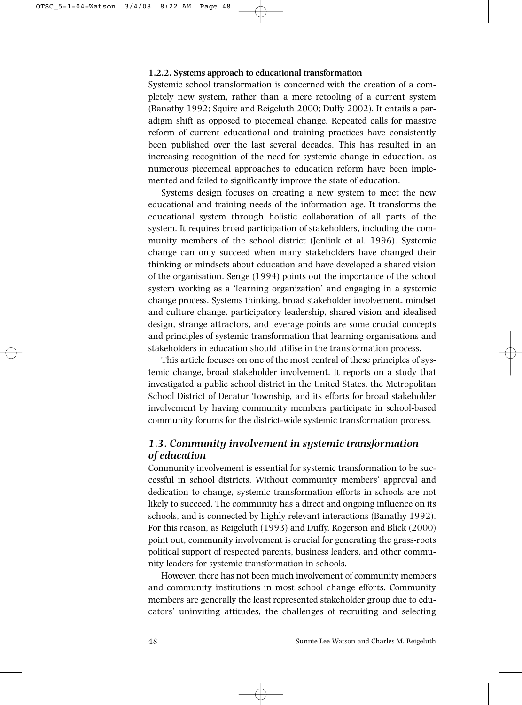#### **1.2.2. Systems approach to educational transformation**

Systemic school transformation is concerned with the creation of a completely new system, rather than a mere retooling of a current system (Banathy 1992; Squire and Reigeluth 2000; Duffy 2002). It entails a paradigm shift as opposed to piecemeal change. Repeated calls for massive reform of current educational and training practices have consistently been published over the last several decades. This has resulted in an increasing recognition of the need for systemic change in education, as numerous piecemeal approaches to education reform have been implemented and failed to significantly improve the state of education.

Systems design focuses on creating a new system to meet the new educational and training needs of the information age. It transforms the educational system through holistic collaboration of all parts of the system. It requires broad participation of stakeholders, including the community members of the school district (Jenlink et al. 1996). Systemic change can only succeed when many stakeholders have changed their thinking or mindsets about education and have developed a shared vision of the organisation. Senge (1994) points out the importance of the school system working as a 'learning organization' and engaging in a systemic change process. Systems thinking, broad stakeholder involvement, mindset and culture change, participatory leadership, shared vision and idealised design, strange attractors, and leverage points are some crucial concepts and principles of systemic transformation that learning organisations and stakeholders in education should utilise in the transformation process.

This article focuses on one of the most central of these principles of systemic change, broad stakeholder involvement. It reports on a study that investigated a public school district in the United States, the Metropolitan School District of Decatur Township, and its efforts for broad stakeholder involvement by having community members participate in school-based community forums for the district-wide systemic transformation process.

## *1.3. Community involvement in systemic transformation of education*

Community involvement is essential for systemic transformation to be successful in school districts. Without community members' approval and dedication to change, systemic transformation efforts in schools are not likely to succeed. The community has a direct and ongoing influence on its schools, and is connected by highly relevant interactions (Banathy 1992). For this reason, as Reigeluth (1993) and Duffy, Rogerson and Blick (2000) point out, community involvement is crucial for generating the grass-roots political support of respected parents, business leaders, and other community leaders for systemic transformation in schools.

However, there has not been much involvement of community members and community institutions in most school change efforts. Community members are generally the least represented stakeholder group due to educators' uninviting attitudes, the challenges of recruiting and selecting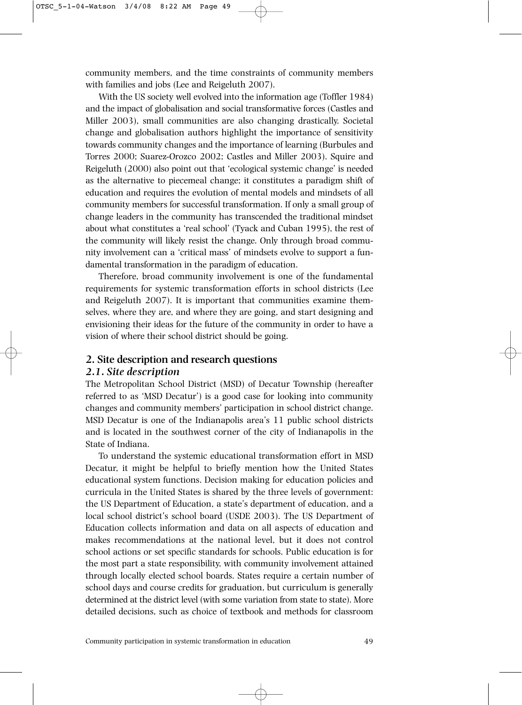community members, and the time constraints of community members with families and jobs (Lee and Reigeluth 2007).

With the US society well evolved into the information age (Toffler 1984) and the impact of globalisation and social transformative forces (Castles and Miller 2003), small communities are also changing drastically. Societal change and globalisation authors highlight the importance of sensitivity towards community changes and the importance of learning (Burbules and Torres 2000; Suarez-Orozco 2002; Castles and Miller 2003). Squire and Reigeluth (2000) also point out that 'ecological systemic change' is needed as the alternative to piecemeal change; it constitutes a paradigm shift of education and requires the evolution of mental models and mindsets of all community members for successful transformation. If only a small group of change leaders in the community has transcended the traditional mindset about what constitutes a 'real school' (Tyack and Cuban 1995), the rest of the community will likely resist the change. Only through broad community involvement can a 'critical mass' of mindsets evolve to support a fundamental transformation in the paradigm of education.

Therefore, broad community involvement is one of the fundamental requirements for systemic transformation efforts in school districts (Lee and Reigeluth 2007). It is important that communities examine themselves, where they are, and where they are going, and start designing and envisioning their ideas for the future of the community in order to have a vision of where their school district should be going.

#### **2. Site description and research questions** *2.1. Site description*

The Metropolitan School District (MSD) of Decatur Township (hereafter referred to as 'MSD Decatur') is a good case for looking into community changes and community members' participation in school district change. MSD Decatur is one of the Indianapolis area's 11 public school districts and is located in the southwest corner of the city of Indianapolis in the State of Indiana.

To understand the systemic educational transformation effort in MSD Decatur, it might be helpful to briefly mention how the United States educational system functions. Decision making for education policies and curricula in the United States is shared by the three levels of government: the US Department of Education, a state's department of education, and a local school district's school board (USDE 2003). The US Department of Education collects information and data on all aspects of education and makes recommendations at the national level, but it does not control school actions or set specific standards for schools. Public education is for the most part a state responsibility, with community involvement attained through locally elected school boards. States require a certain number of school days and course credits for graduation, but curriculum is generally determined at the district level (with some variation from state to state). More detailed decisions, such as choice of textbook and methods for classroom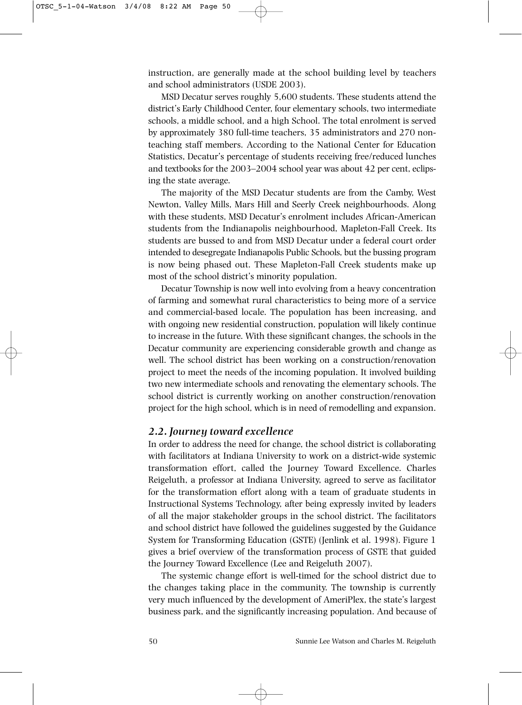instruction, are generally made at the school building level by teachers and school administrators (USDE 2003).

MSD Decatur serves roughly 5,600 students. These students attend the district's Early Childhood Center, four elementary schools, two intermediate schools, a middle school, and a high School. The total enrolment is served by approximately 380 full-time teachers, 35 administrators and 270 nonteaching staff members. According to the National Center for Education Statistics, Decatur's percentage of students receiving free/reduced lunches and textbooks for the 2003–2004 school year was about 42 per cent, eclipsing the state average.

The majority of the MSD Decatur students are from the Camby, West Newton, Valley Mills, Mars Hill and Seerly Creek neighbourhoods. Along with these students, MSD Decatur's enrolment includes African-American students from the Indianapolis neighbourhood, Mapleton-Fall Creek. Its students are bussed to and from MSD Decatur under a federal court order intended to desegregate Indianapolis Public Schools, but the bussing program is now being phased out. These Mapleton-Fall Creek students make up most of the school district's minority population.

Decatur Township is now well into evolving from a heavy concentration of farming and somewhat rural characteristics to being more of a service and commercial-based locale. The population has been increasing, and with ongoing new residential construction, population will likely continue to increase in the future. With these significant changes, the schools in the Decatur community are experiencing considerable growth and change as well. The school district has been working on a construction/renovation project to meet the needs of the incoming population. It involved building two new intermediate schools and renovating the elementary schools. The school district is currently working on another construction/renovation project for the high school, which is in need of remodelling and expansion.

#### *2.2. Journey toward excellence*

In order to address the need for change, the school district is collaborating with facilitators at Indiana University to work on a district-wide systemic transformation effort, called the Journey Toward Excellence. Charles Reigeluth, a professor at Indiana University, agreed to serve as facilitator for the transformation effort along with a team of graduate students in Instructional Systems Technology, after being expressly invited by leaders of all the major stakeholder groups in the school district. The facilitators and school district have followed the guidelines suggested by the Guidance System for Transforming Education (GSTE) (Jenlink et al. 1998). Figure 1 gives a brief overview of the transformation process of GSTE that guided the Journey Toward Excellence (Lee and Reigeluth 2007).

The systemic change effort is well-timed for the school district due to the changes taking place in the community. The township is currently very much influenced by the development of AmeriPlex, the state's largest business park, and the significantly increasing population. And because of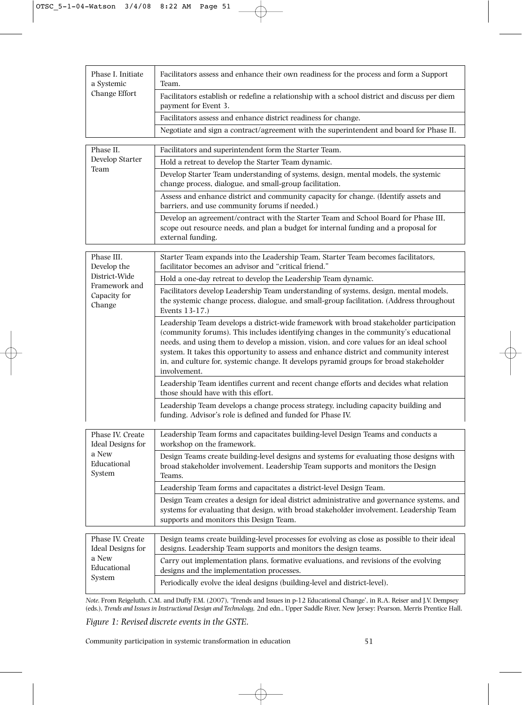| Phase I. Initiate<br>a Systemic<br>Change Effort                                      | Facilitators assess and enhance their own readiness for the process and form a Support<br>Team.                                                                                                                                                                                                                                                                                                                                                                                 |
|---------------------------------------------------------------------------------------|---------------------------------------------------------------------------------------------------------------------------------------------------------------------------------------------------------------------------------------------------------------------------------------------------------------------------------------------------------------------------------------------------------------------------------------------------------------------------------|
|                                                                                       | Facilitators establish or redefine a relationship with a school district and discuss per diem<br>payment for Event 3.                                                                                                                                                                                                                                                                                                                                                           |
|                                                                                       | Facilitators assess and enhance district readiness for change.                                                                                                                                                                                                                                                                                                                                                                                                                  |
|                                                                                       | Negotiate and sign a contract/agreement with the superintendent and board for Phase II.                                                                                                                                                                                                                                                                                                                                                                                         |
| Facilitators and superintendent form the Starter Team.                                |                                                                                                                                                                                                                                                                                                                                                                                                                                                                                 |
| Phase II.<br>Develop Starter<br>Team                                                  | Hold a retreat to develop the Starter Team dynamic.                                                                                                                                                                                                                                                                                                                                                                                                                             |
|                                                                                       | Develop Starter Team understanding of systems, design, mental models, the systemic                                                                                                                                                                                                                                                                                                                                                                                              |
|                                                                                       | change process, dialogue, and small-group facilitation.                                                                                                                                                                                                                                                                                                                                                                                                                         |
|                                                                                       | Assess and enhance district and community capacity for change. (Identify assets and<br>barriers, and use community forums if needed.)                                                                                                                                                                                                                                                                                                                                           |
|                                                                                       | Develop an agreement/contract with the Starter Team and School Board for Phase III,<br>scope out resource needs, and plan a budget for internal funding and a proposal for<br>external funding.                                                                                                                                                                                                                                                                                 |
| Phase III.<br>Develop the<br>District-Wide<br>Framework and<br>Capacity for<br>Change | Starter Team expands into the Leadership Team, Starter Team becomes facilitators,<br>facilitator becomes an advisor and "critical friend."                                                                                                                                                                                                                                                                                                                                      |
|                                                                                       | Hold a one-day retreat to develop the Leadership Team dynamic.                                                                                                                                                                                                                                                                                                                                                                                                                  |
|                                                                                       | Facilitators develop Leadership Team understanding of systems, design, mental models,<br>the systemic change process, dialogue, and small-group facilitation. (Address throughout<br>Events 13-17.)                                                                                                                                                                                                                                                                             |
|                                                                                       | Leadership Team develops a district-wide framework with broad stakeholder participation<br>(community forums). This includes identifying changes in the community's educational<br>needs, and using them to develop a mission, vision, and core values for an ideal school<br>system. It takes this opportunity to assess and enhance district and community interest<br>in, and culture for, systemic change. It develops pyramid groups for broad stakeholder<br>involvement. |
|                                                                                       | Leadership Team identifies current and recent change efforts and decides what relation<br>those should have with this effort.                                                                                                                                                                                                                                                                                                                                                   |
|                                                                                       | Leadership Team develops a change process strategy, including capacity building and<br>funding. Advisor's role is defined and funded for Phase IV.                                                                                                                                                                                                                                                                                                                              |
| Phase IV. Create<br>Ideal Designs for<br>a New<br>Educational<br>System               | Leadership Team forms and capacitates building-level Design Teams and conducts a<br>workshop on the framework.                                                                                                                                                                                                                                                                                                                                                                  |
|                                                                                       | Design Teams create building-level designs and systems for evaluating those designs with<br>broad stakeholder involvement. Leadership Team supports and monitors the Design<br>Teams.                                                                                                                                                                                                                                                                                           |
|                                                                                       | Leadership Team forms and capacitates a district-level Design Team.                                                                                                                                                                                                                                                                                                                                                                                                             |
|                                                                                       | Design Team creates a design for ideal district administrative and governance systems, and<br>systems for evaluating that design, with broad stakeholder involvement. Leadership Team<br>supports and monitors this Design Team.                                                                                                                                                                                                                                                |
| Phase IV. Create<br>Ideal Designs for<br>a New<br>Educational<br>System               | Design teams create building-level processes for evolving as close as possible to their ideal<br>designs. Leadership Team supports and monitors the design teams.                                                                                                                                                                                                                                                                                                               |
|                                                                                       | Carry out implementation plans, formative evaluations, and revisions of the evolving<br>designs and the implementation processes.                                                                                                                                                                                                                                                                                                                                               |
|                                                                                       | Periodically evolve the ideal designs (building-level and district-level).                                                                                                                                                                                                                                                                                                                                                                                                      |

*Note.* From Reigeluth, C.M. and Duffy F.M. (2007), 'Trends and Issues in p-12 Educational Change', in R.A. Reiser and J.V. Dempsey (eds.), *Trends and Issues in Instructional Design and Technology,* 2nd edn., Upper Saddle River, New Jersey: Pearson, Merris Prentice Hall.

*Figure 1: Revised discrete events in the GSTE.*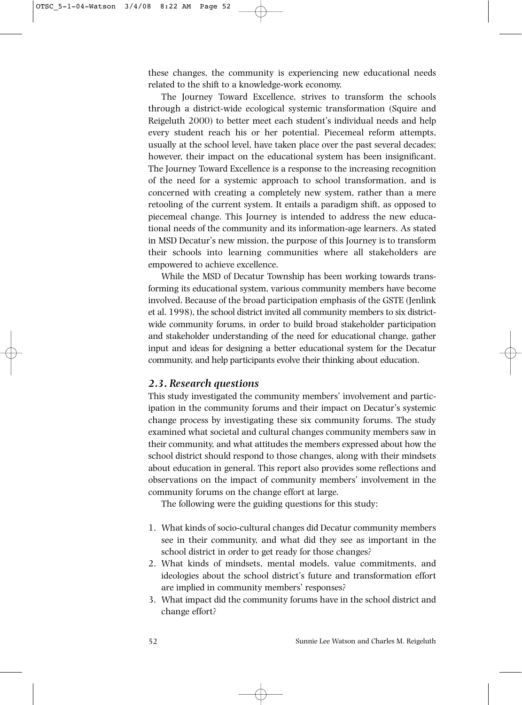these changes, the community is experiencing new educational needs related to the shift to a knowledge-work economy.

The Journey Toward Excellence, strives to transform the schools through a district-wide ecological systemic transformation (Squire and Reigeluth 2000) to better meet each student's individual needs and help every student reach his or her potential. Piecemeal reform attempts, usually at the school level, have taken place over the past several decades; however, their impact on the educational system has been insignificant. The Journey Toward Excellence is a response to the increasing recognition of the need for a systemic approach to school transformation, and is concerned with creating a completely new system, rather than a mere retooling of the current system. It entails a paradigm shift, as opposed to piecemeal change. This Journey is intended to address the new educational needs of the community and its information-age learners. As stated in MSD Decatur's new mission, the purpose of this Journey is to transform their schools into learning communities where all stakeholders are empowered to achieve excellence.

While the MSD of Decatur Township has been working towards transforming its educational system, various community members have become involved. Because of the broad participation emphasis of the GSTE (Jenlink et al. 1998), the school district invited all community members to six districtwide community forums, in order to build broad stakeholder participation and stakeholder understanding of the need for educational change, gather input and ideas for designing a better educational system for the Decatur community, and help participants evolve their thinking about education.

#### *2.3. Research questions*

This study investigated the community members' involvement and participation in the community forums and their impact on Decatur's systemic change process by investigating these six community forums. The study examined what societal and cultural changes community members saw in their community, and what attitudes the members expressed about how the school district should respond to those changes, along with their mindsets about education in general. This report also provides some reflections and observations on the impact of community members' involvement in the community forums on the change effort at large.

The following were the guiding questions for this study:

- 1. What kinds of socio-cultural changes did Decatur community members see in their community, and what did they see as important in the school district in order to get ready for those changes?
- 2. What kinds of mindsets, mental models, value commitments, and ideologies about the school district's future and transformation effort are implied in community members' responses?
- 3. What impact did the community forums have in the school district and change effort?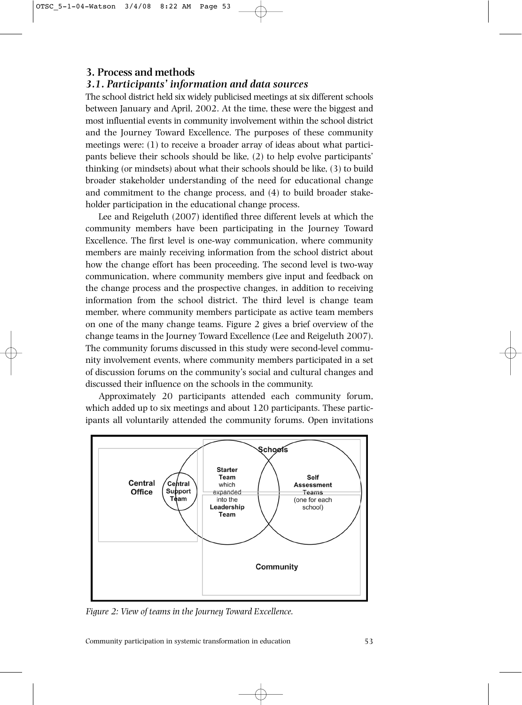#### **3. Process and methods**

## *3.1. Participants' information and data sources*

The school district held six widely publicised meetings at six different schools between January and April, 2002. At the time, these were the biggest and most influential events in community involvement within the school district and the Journey Toward Excellence. The purposes of these community meetings were: (1) to receive a broader array of ideas about what participants believe their schools should be like, (2) to help evolve participants' thinking (or mindsets) about what their schools should be like, (3) to build broader stakeholder understanding of the need for educational change and commitment to the change process, and (4) to build broader stakeholder participation in the educational change process.

Lee and Reigeluth (2007) identified three different levels at which the community members have been participating in the Journey Toward Excellence. The first level is one-way communication, where community members are mainly receiving information from the school district about how the change effort has been proceeding. The second level is two-way communication, where community members give input and feedback on the change process and the prospective changes, in addition to receiving information from the school district. The third level is change team member, where community members participate as active team members on one of the many change teams. Figure 2 gives a brief overview of the change teams in the Journey Toward Excellence (Lee and Reigeluth 2007). The community forums discussed in this study were second-level community involvement events, where community members participated in a set of discussion forums on the community's social and cultural changes and discussed their influence on the schools in the community.

Approximately 20 participants attended each community forum, which added up to six meetings and about 120 participants. These participants all voluntarily attended the community forums. Open invitations



*Figure 2: View of teams in the Journey Toward Excellence.*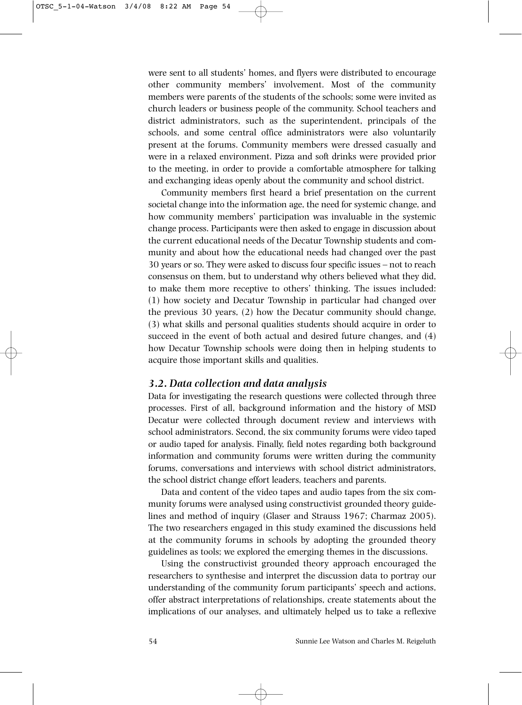were sent to all students' homes, and flyers were distributed to encourage other community members' involvement. Most of the community members were parents of the students of the schools; some were invited as church leaders or business people of the community. School teachers and district administrators, such as the superintendent, principals of the schools, and some central office administrators were also voluntarily present at the forums. Community members were dressed casually and were in a relaxed environment. Pizza and soft drinks were provided prior to the meeting, in order to provide a comfortable atmosphere for talking and exchanging ideas openly about the community and school district.

Community members first heard a brief presentation on the current societal change into the information age, the need for systemic change, and how community members' participation was invaluable in the systemic change process. Participants were then asked to engage in discussion about the current educational needs of the Decatur Township students and community and about how the educational needs had changed over the past 30 years or so. They were asked to discuss four specific issues – not to reach consensus on them, but to understand why others believed what they did, to make them more receptive to others' thinking. The issues included: (1) how society and Decatur Township in particular had changed over the previous 30 years, (2) how the Decatur community should change, (3) what skills and personal qualities students should acquire in order to succeed in the event of both actual and desired future changes, and (4) how Decatur Township schools were doing then in helping students to acquire those important skills and qualities.

#### *3.2. Data collection and data analysis*

Data for investigating the research questions were collected through three processes. First of all, background information and the history of MSD Decatur were collected through document review and interviews with school administrators. Second, the six community forums were video taped or audio taped for analysis. Finally, field notes regarding both background information and community forums were written during the community forums, conversations and interviews with school district administrators, the school district change effort leaders, teachers and parents.

Data and content of the video tapes and audio tapes from the six community forums were analysed using constructivist grounded theory guidelines and method of inquiry (Glaser and Strauss 1967; Charmaz 2005). The two researchers engaged in this study examined the discussions held at the community forums in schools by adopting the grounded theory guidelines as tools; we explored the emerging themes in the discussions.

Using the constructivist grounded theory approach encouraged the researchers to synthesise and interpret the discussion data to portray our understanding of the community forum participants' speech and actions, offer abstract interpretations of relationships, create statements about the implications of our analyses, and ultimately helped us to take a reflexive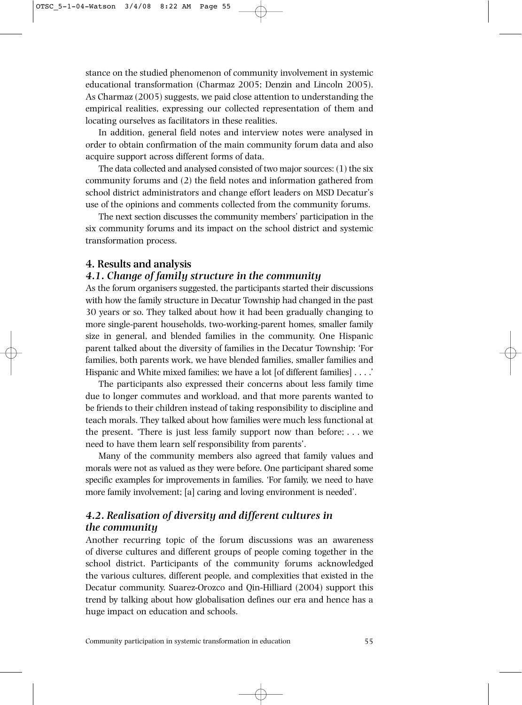stance on the studied phenomenon of community involvement in systemic educational transformation (Charmaz 2005; Denzin and Lincoln 2005). As Charmaz (2005) suggests, we paid close attention to understanding the empirical realities, expressing our collected representation of them and locating ourselves as facilitators in these realities.

In addition, general field notes and interview notes were analysed in order to obtain confirmation of the main community forum data and also acquire support across different forms of data.

The data collected and analysed consisted of two major sources: (1) the six community forums and (2) the field notes and information gathered from school district administrators and change effort leaders on MSD Decatur's use of the opinions and comments collected from the community forums.

The next section discusses the community members' participation in the six community forums and its impact on the school district and systemic transformation process.

#### **4. Results and analysis**

#### *4.1. Change of family structure in the community*

As the forum organisers suggested, the participants started their discussions with how the family structure in Decatur Township had changed in the past 30 years or so. They talked about how it had been gradually changing to more single-parent households, two-working-parent homes, smaller family size in general, and blended families in the community. One Hispanic parent talked about the diversity of families in the Decatur Township: 'For families, both parents work, we have blended families, smaller families and Hispanic and White mixed families; we have a lot [of different families] . . . .'

The participants also expressed their concerns about less family time due to longer commutes and workload, and that more parents wanted to be friends to their children instead of taking responsibility to discipline and teach morals. They talked about how families were much less functional at the present. 'There is just less family support now than before; . . . we need to have them learn self responsibility from parents'.

Many of the community members also agreed that family values and morals were not as valued as they were before. One participant shared some specific examples for improvements in families. 'For family, we need to have more family involvement; [a] caring and loving environment is needed'.

## *4.2. Realisation of diversity and different cultures in the community*

Another recurring topic of the forum discussions was an awareness of diverse cultures and different groups of people coming together in the school district. Participants of the community forums acknowledged the various cultures, different people, and complexities that existed in the Decatur community. Suarez-Orozco and Qin-Hilliard (2004) support this trend by talking about how globalisation defines our era and hence has a huge impact on education and schools.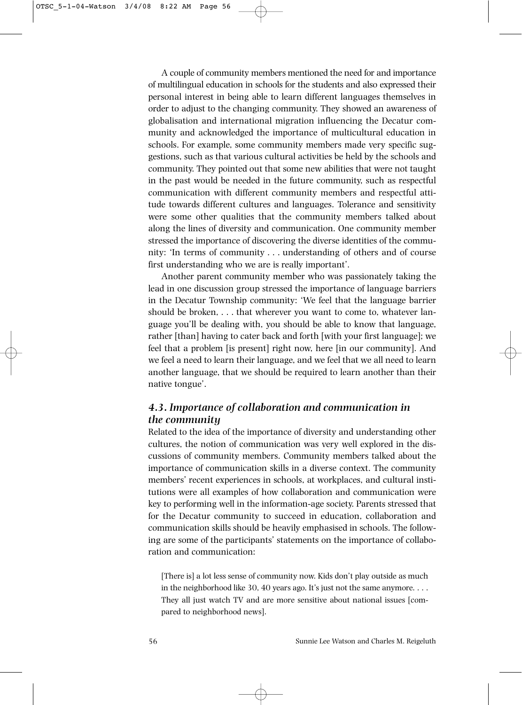A couple of community members mentioned the need for and importance of multilingual education in schools for the students and also expressed their personal interest in being able to learn different languages themselves in order to adjust to the changing community. They showed an awareness of globalisation and international migration influencing the Decatur community and acknowledged the importance of multicultural education in schools. For example, some community members made very specific suggestions, such as that various cultural activities be held by the schools and community. They pointed out that some new abilities that were not taught in the past would be needed in the future community, such as respectful communication with different community members and respectful attitude towards different cultures and languages. Tolerance and sensitivity were some other qualities that the community members talked about along the lines of diversity and communication. One community member stressed the importance of discovering the diverse identities of the community: 'In terms of community . . . understanding of others and of course first understanding who we are is really important'.

Another parent community member who was passionately taking the lead in one discussion group stressed the importance of language barriers in the Decatur Township community: 'We feel that the language barrier should be broken, . . . that wherever you want to come to, whatever language you'll be dealing with, you should be able to know that language, rather [than] having to cater back and forth [with your first language]; we feel that a problem [is present] right now, here [in our community]. And we feel a need to learn their language, and we feel that we all need to learn another language, that we should be required to learn another than their native tongue'.

## *4.3. Importance of collaboration and communication in the community*

Related to the idea of the importance of diversity and understanding other cultures, the notion of communication was very well explored in the discussions of community members. Community members talked about the importance of communication skills in a diverse context. The community members' recent experiences in schools, at workplaces, and cultural institutions were all examples of how collaboration and communication were key to performing well in the information-age society. Parents stressed that for the Decatur community to succeed in education, collaboration and communication skills should be heavily emphasised in schools. The following are some of the participants' statements on the importance of collaboration and communication:

[There is] a lot less sense of community now. Kids don't play outside as much in the neighborhood like 30, 40 years ago. It's just not the same anymore.... They all just watch TV and are more sensitive about national issues [compared to neighborhood news].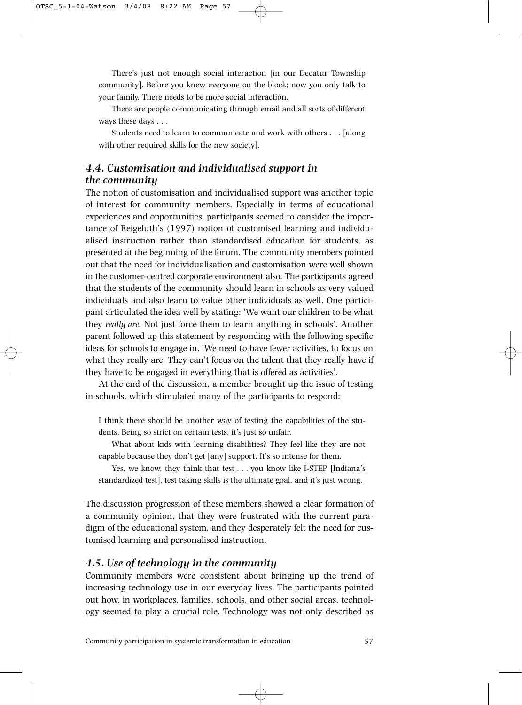There's just not enough social interaction [in our Decatur Township community]. Before you knew everyone on the block; now you only talk to your family. There needs to be more social interaction.

There are people communicating through email and all sorts of different ways these days . . .

Students need to learn to communicate and work with others... [along with other required skills for the new society].

## *4.4. Customisation and individualised support in the community*

The notion of customisation and individualised support was another topic of interest for community members. Especially in terms of educational experiences and opportunities, participants seemed to consider the importance of Reigeluth's (1997) notion of customised learning and individualised instruction rather than standardised education for students, as presented at the beginning of the forum. The community members pointed out that the need for individualisation and customisation were well shown in the customer-centred corporate environment also. The participants agreed that the students of the community should learn in schools as very valued individuals and also learn to value other individuals as well. One participant articulated the idea well by stating: 'We want our children to be what they *really are.* Not just force them to learn anything in schools'. Another parent followed up this statement by responding with the following specific ideas for schools to engage in. 'We need to have fewer activities, to focus on what they really are. They can't focus on the talent that they really have if they have to be engaged in everything that is offered as activities'.

At the end of the discussion, a member brought up the issue of testing in schools, which stimulated many of the participants to respond:

I think there should be another way of testing the capabilities of the students. Being so strict on certain tests, it's just so unfair.

What about kids with learning disabilities? They feel like they are not capable because they don't get [any] support. It's so intense for them.

Yes, we know, they think that test . . . you know like I-STEP [Indiana's standardized test], test taking skills is the ultimate goal, and it's just wrong.

The discussion progression of these members showed a clear formation of a community opinion, that they were frustrated with the current paradigm of the educational system, and they desperately felt the need for customised learning and personalised instruction.

#### *4.5. Use of technology in the community*

Community members were consistent about bringing up the trend of increasing technology use in our everyday lives. The participants pointed out how, in workplaces, families, schools, and other social areas, technology seemed to play a crucial role. Technology was not only described as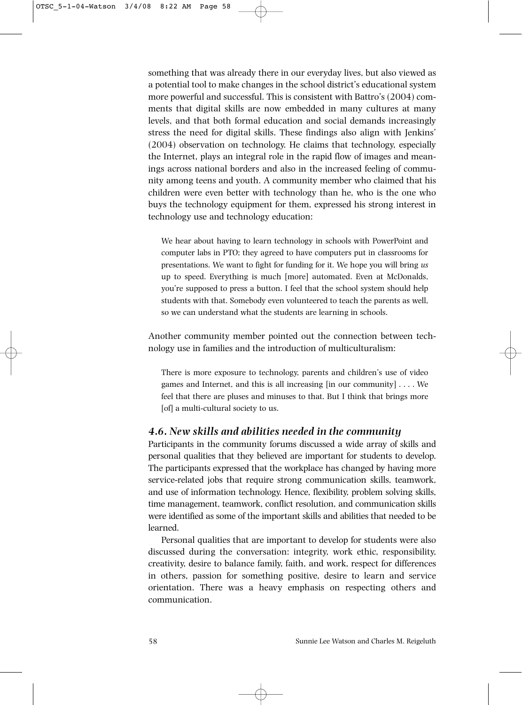something that was already there in our everyday lives, but also viewed as a potential tool to make changes in the school district's educational system more powerful and successful. This is consistent with Battro's (2004) comments that digital skills are now embedded in many cultures at many levels, and that both formal education and social demands increasingly stress the need for digital skills. These findings also align with Jenkins' (2004) observation on technology. He claims that technology, especially the Internet, plays an integral role in the rapid flow of images and meanings across national borders and also in the increased feeling of community among teens and youth. A community member who claimed that his children were even better with technology than he, who is the one who buys the technology equipment for them, expressed his strong interest in technology use and technology education:

We hear about having to learn technology in schools with PowerPoint and computer labs in PTO; they agreed to have computers put in classrooms for presentations. We want to fight for funding for it. We hope you will bring *us* up to speed. Everything is much [more] automated. Even at McDonalds, you're supposed to press a button. I feel that the school system should help students with that. Somebody even volunteered to teach the parents as well, so we can understand what the students are learning in schools.

Another community member pointed out the connection between technology use in families and the introduction of multiculturalism:

There is more exposure to technology, parents and children's use of video games and Internet, and this is all increasing [in our community] . . . . We feel that there are pluses and minuses to that. But I think that brings more [of] a multi-cultural society to us.

#### *4.6. New skills and abilities needed in the community*

Participants in the community forums discussed a wide array of skills and personal qualities that they believed are important for students to develop. The participants expressed that the workplace has changed by having more service-related jobs that require strong communication skills, teamwork, and use of information technology. Hence, flexibility, problem solving skills, time management, teamwork, conflict resolution, and communication skills were identified as some of the important skills and abilities that needed to be learned.

Personal qualities that are important to develop for students were also discussed during the conversation: integrity, work ethic, responsibility, creativity, desire to balance family, faith, and work, respect for differences in others, passion for something positive, desire to learn and service orientation. There was a heavy emphasis on respecting others and communication.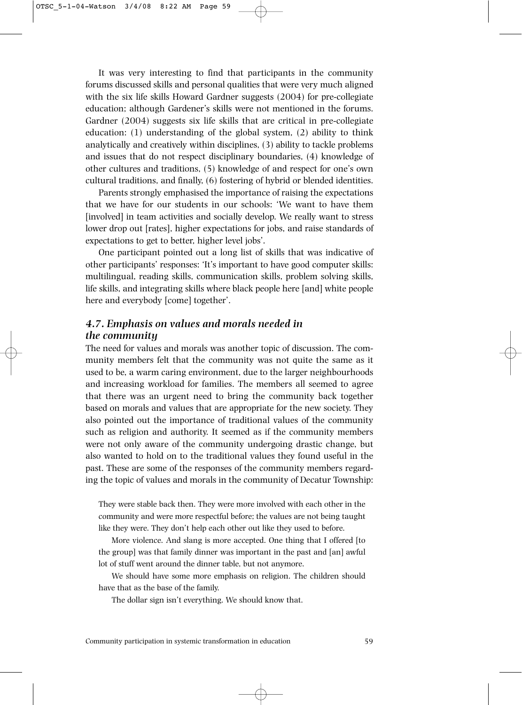It was very interesting to find that participants in the community forums discussed skills and personal qualities that were very much aligned with the six life skills Howard Gardner suggests (2004) for pre-collegiate education; although Gardener's skills were not mentioned in the forums. Gardner (2004) suggests six life skills that are critical in pre-collegiate education: (1) understanding of the global system, (2) ability to think analytically and creatively within disciplines, (3) ability to tackle problems and issues that do not respect disciplinary boundaries, (4) knowledge of other cultures and traditions, (5) knowledge of and respect for one's own cultural traditions, and finally, (6) fostering of hybrid or blended identities.

Parents strongly emphasised the importance of raising the expectations that we have for our students in our schools: 'We want to have them [involved] in team activities and socially develop. We really want to stress lower drop out [rates], higher expectations for jobs, and raise standards of expectations to get to better, higher level jobs'.

One participant pointed out a long list of skills that was indicative of other participants' responses: 'It's important to have good computer skills: multilingual, reading skills, communication skills, problem solving skills, life skills, and integrating skills where black people here [and] white people here and everybody [come] together'.

## *4.7. Emphasis on values and morals needed in the community*

The need for values and morals was another topic of discussion. The community members felt that the community was not quite the same as it used to be, a warm caring environment, due to the larger neighbourhoods and increasing workload for families. The members all seemed to agree that there was an urgent need to bring the community back together based on morals and values that are appropriate for the new society. They also pointed out the importance of traditional values of the community such as religion and authority. It seemed as if the community members were not only aware of the community undergoing drastic change, but also wanted to hold on to the traditional values they found useful in the past. These are some of the responses of the community members regarding the topic of values and morals in the community of Decatur Township:

They were stable back then. They were more involved with each other in the community and were more respectful before; the values are not being taught like they were. They don't help each other out like they used to before.

More violence. And slang is more accepted. One thing that I offered [to the group] was that family dinner was important in the past and [an] awful lot of stuff went around the dinner table, but not anymore.

We should have some more emphasis on religion. The children should have that as the base of the family.

The dollar sign isn't everything. We should know that.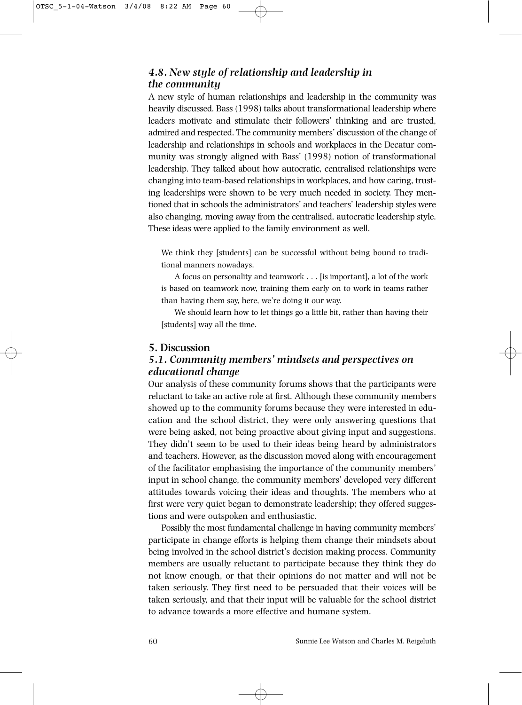## *4.8. New style of relationship and leadership in the community*

A new style of human relationships and leadership in the community was heavily discussed. Bass (1998) talks about transformational leadership where leaders motivate and stimulate their followers' thinking and are trusted, admired and respected. The community members' discussion of the change of leadership and relationships in schools and workplaces in the Decatur community was strongly aligned with Bass' (1998) notion of transformational leadership. They talked about how autocratic, centralised relationships were changing into team-based relationships in workplaces, and how caring, trusting leaderships were shown to be very much needed in society. They mentioned that in schools the administrators' and teachers' leadership styles were also changing, moving away from the centralised, autocratic leadership style. These ideas were applied to the family environment as well.

We think they [students] can be successful without being bound to traditional manners nowadays.

A focus on personality and teamwork . . . [is important], a lot of the work is based on teamwork now, training them early on to work in teams rather than having them say, here, we're doing it our way.

We should learn how to let things go a little bit, rather than having their [students] way all the time.

#### **5. Discussion**

## *5.1. Community members' mindsets and perspectives on educational change*

Our analysis of these community forums shows that the participants were reluctant to take an active role at first. Although these community members showed up to the community forums because they were interested in education and the school district, they were only answering questions that were being asked, not being proactive about giving input and suggestions. They didn't seem to be used to their ideas being heard by administrators and teachers. However, as the discussion moved along with encouragement of the facilitator emphasising the importance of the community members' input in school change, the community members' developed very different attitudes towards voicing their ideas and thoughts. The members who at first were very quiet began to demonstrate leadership; they offered suggestions and were outspoken and enthusiastic.

Possibly the most fundamental challenge in having community members' participate in change efforts is helping them change their mindsets about being involved in the school district's decision making process. Community members are usually reluctant to participate because they think they do not know enough, or that their opinions do not matter and will not be taken seriously. They first need to be persuaded that their voices will be taken seriously, and that their input will be valuable for the school district to advance towards a more effective and humane system.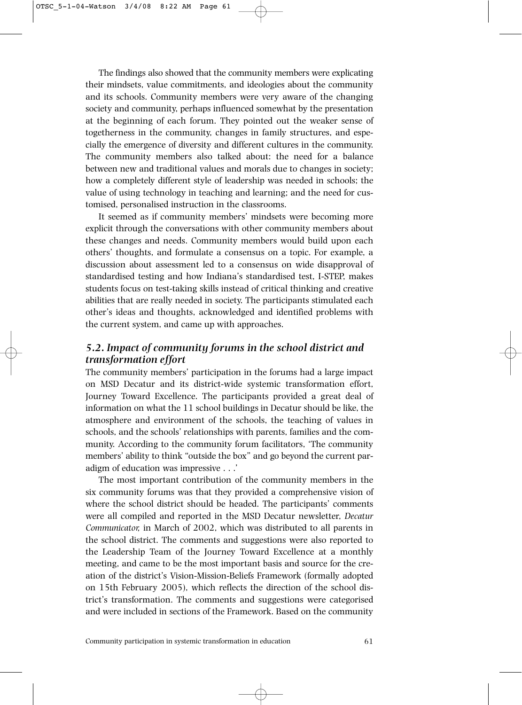The findings also showed that the community members were explicating their mindsets, value commitments, and ideologies about the community and its schools. Community members were very aware of the changing society and community, perhaps influenced somewhat by the presentation at the beginning of each forum. They pointed out the weaker sense of togetherness in the community, changes in family structures, and especially the emergence of diversity and different cultures in the community. The community members also talked about: the need for a balance between new and traditional values and morals due to changes in society; how a completely different style of leadership was needed in schools; the value of using technology in teaching and learning; and the need for customised, personalised instruction in the classrooms.

It seemed as if community members' mindsets were becoming more explicit through the conversations with other community members about these changes and needs. Community members would build upon each others' thoughts, and formulate a consensus on a topic. For example, a discussion about assessment led to a consensus on wide disapproval of standardised testing and how Indiana's standardised test, I-STEP, makes students focus on test-taking skills instead of critical thinking and creative abilities that are really needed in society. The participants stimulated each other's ideas and thoughts, acknowledged and identified problems with the current system, and came up with approaches.

### *5.2. Impact of community forums in the school district and transformation effort*

The community members' participation in the forums had a large impact on MSD Decatur and its district-wide systemic transformation effort, Journey Toward Excellence. The participants provided a great deal of information on what the 11 school buildings in Decatur should be like, the atmosphere and environment of the schools, the teaching of values in schools, and the schools' relationships with parents, families and the community. According to the community forum facilitators, 'The community members' ability to think "outside the box" and go beyond the current paradigm of education was impressive . . .'

The most important contribution of the community members in the six community forums was that they provided a comprehensive vision of where the school district should be headed. The participants' comments were all compiled and reported in the MSD Decatur newsletter, *Decatur Communicator,* in March of 2002, which was distributed to all parents in the school district. The comments and suggestions were also reported to the Leadership Team of the Journey Toward Excellence at a monthly meeting, and came to be the most important basis and source for the creation of the district's Vision-Mission-Beliefs Framework (formally adopted on 15th February 2005), which reflects the direction of the school district's transformation. The comments and suggestions were categorised and were included in sections of the Framework. Based on the community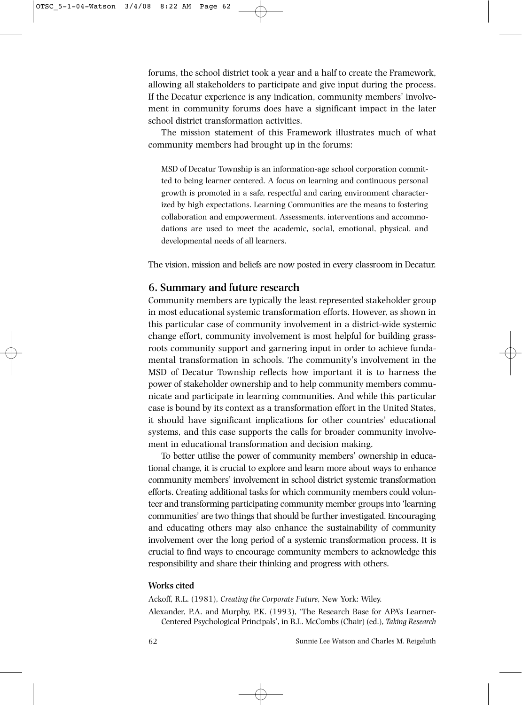forums, the school district took a year and a half to create the Framework, allowing all stakeholders to participate and give input during the process. If the Decatur experience is any indication, community members' involvement in community forums does have a significant impact in the later school district transformation activities.

The mission statement of this Framework illustrates much of what community members had brought up in the forums:

MSD of Decatur Township is an information-age school corporation committed to being learner centered. A focus on learning and continuous personal growth is promoted in a safe, respectful and caring environment characterized by high expectations. Learning Communities are the means to fostering collaboration and empowerment. Assessments, interventions and accommodations are used to meet the academic, social, emotional, physical, and developmental needs of all learners.

The vision, mission and beliefs are now posted in every classroom in Decatur.

#### **6. Summary and future research**

Community members are typically the least represented stakeholder group in most educational systemic transformation efforts. However, as shown in this particular case of community involvement in a district-wide systemic change effort, community involvement is most helpful for building grassroots community support and garnering input in order to achieve fundamental transformation in schools. The community's involvement in the MSD of Decatur Township reflects how important it is to harness the power of stakeholder ownership and to help community members communicate and participate in learning communities. And while this particular case is bound by its context as a transformation effort in the United States, it should have significant implications for other countries' educational systems, and this case supports the calls for broader community involvement in educational transformation and decision making.

To better utilise the power of community members' ownership in educational change, it is crucial to explore and learn more about ways to enhance community members' involvement in school district systemic transformation efforts. Creating additional tasks for which community members could volunteer and transforming participating community member groups into 'learning communities' are two things that should be further investigated. Encouraging and educating others may also enhance the sustainability of community involvement over the long period of a systemic transformation process. It is crucial to find ways to encourage community members to acknowledge this responsibility and share their thinking and progress with others.

#### **Works cited**

Ackoff, R.L. (1981), *Creating the Corporate Future*, New York: Wiley.

Alexander, P.A. and Murphy, P.K. (1993), 'The Research Base for APA's Learner-Centered Psychological Principals', in B.L. McCombs (Chair) (ed.), *Taking Research*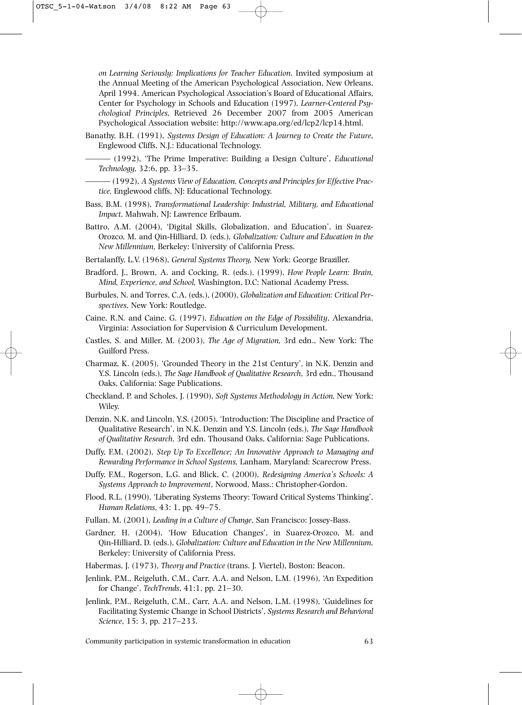*on Learning Seriously: Implications for Teacher Education*. Invited symposium at the Annual Meeting of the American Psychological Association, New Orleans, April 1994. American Psychological Association's Board of Educational Affairs, Center for Psychology in Schools and Education (1997), *Learner-Centered Psychological Principles,* Retrieved 26 December 2007 from 2005 American Psychological Association website: http://www.apa.org/ed/lcp2/lcp14.html.

Banathy, B.H. (1991), *Systems Design of Education: A Journey to Create the Future*, Englewood Cliffs, N.J.: Educational Technology.

——— (1992), 'The Prime Imperative: Building a Design Culture', *Educational Technology,* 32:6, pp. 33–35.

 $-$  (1992), A Systems View of Education. Concepts and Principles for Effective Prac*tice,* Englewood cliffs, NJ: Educational Technology.

- Bass, B.M. (1998), *Transformational Leadership: Industrial, Military, and Educational Impact*, Mahwah, NJ: Lawrence Erlbaum.
- Battro, A.M. (2004), 'Digital Skills, Globalization, and Education', in Suarez-Orozco, M. and Qin-Hilliard, D. (eds.), *Globalization: Culture and Education in the New Millennium,* Berkeley: University of California Press.
- Bertalanffy, L.V. (1968), *General Systems Theory,* New York: George Braziller.
- Bradford, J., Brown, A. and Cocking, R. (eds.), (1999), *How People Learn: Brain, Mind, Experience, and School,* Washington, D.C: National Academy Press.
- Burbules, N. and Torres, C.A. (eds.), (2000), *Globalization and Education: Critical Perspectives*, New York: Routledge.
- Caine, R.N. and Caine, G. (1997), *Education on the Edge of Possibility*, Alexandria, Virginia: Association for Supervision & Curriculum Development.
- Castles, S. and Miller, M. (2003), *The Age of Migration,* 3rd edn., New York: The Guilford Press.
- Charmaz, K. (2005), 'Grounded Theory in the 21st Century', in N.K. Denzin and Y.S. Lincoln (eds.), *The Sage Handbook of Qualitative Research*, 3rd edn., Thousand Oaks, California: Sage Publications.
- Checkland, P. and Scholes, J. (1990), *Soft Systems Methodology in Action,* New York: Wiley.
- Denzin, N.K. and Lincoln, Y.S. (2005), 'Introduction: The Discipline and Practice of Qualitative Research', in N.K. Denzin and Y.S. Lincoln (eds.), *The Sage Handbook of Qualitative Research*, 3rd edn. Thousand Oaks, California: Sage Publications.
- Duffy, F.M. (2002), *Step Up To Excellence; An Innovative Approach to Managing and Rewarding Performance in School Systems,* Lanham, Maryland: Scarecrow Press.
- Duffy, F.M., Rogerson, L.G. and Blick, C. (2000), *Redesigning America's Schools: A Systems Approach to Improvement*, Norwood, Mass.: Christopher-Gordon.
- Flood, R.L. (1990), 'Liberating Systems Theory: Toward Critical Systems Thinking', *Human Relations,* 43: 1, pp. 49–75.
- Fullan, M. (2001), *Leading in a Culture of Change*, San Francisco: Jossey-Bass.
- Gardner, H. (2004), 'How Education Changes', in Suarez-Orozco, M. and Qin-Hilliard, D. (eds.), *Globalization: Culture and Education in the New Millennium,* Berkeley: University of California Press.
- Habermas, J. (1973), *Theory and Practice* (trans. J. Viertel), Boston: Beacon.
- Jenlink, P.M., Reigeluth, C.M., Carr, A.A. and Nelson, L.M. (1996), 'An Expedition for Change', *TechTrends*, 41:1, pp. 21–30.
- Jenlink, P.M., Reigeluth, C.M., Carr, A.A. and Nelson, L.M. (1998), 'Guidelines for Facilitating Systemic Change in School Districts', *Systems Research and Behavioral Science*, 15: 3, pp. 217–233.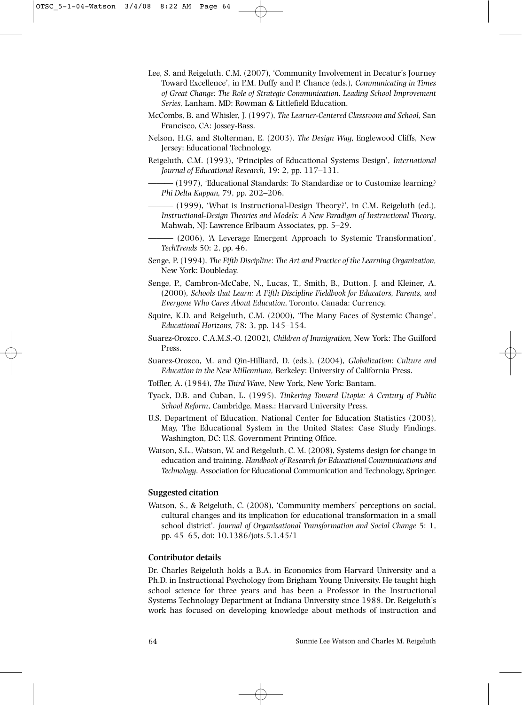- Lee, S. and Reigeluth, C.M. (2007), 'Community Involvement in Decatur's Journey Toward Excellence', in F.M. Duffy and P. Chance (eds.), *Communicating in Times of Great Change: The Role of Strategic Communication. Leading School Improvement Series,* Lanham, MD: Rowman & Littlefield Education.
- McCombs, B. and Whisler, J. (1997), *The Learner-Centered Classroom and School,* San Francisco, CA: Jossey-Bass.
- Nelson, H.G. and Stolterman, E. (2003), *The Design Way,* Englewood Cliffs, New Jersey: Educational Technology.
- Reigeluth, C.M. (1993), 'Principles of Educational Systems Design', *International Journal of Educational Research,* 19: 2, pp. 117–131.
- (1997), 'Educational Standards: To Standardize or to Customize learning? *Phi Delta Kappan,* 79, pp. 202–206.
- (1999), 'What is Instructional-Design Theory?', in C.M. Reigeluth (ed.), *Instructional-Design Theories and Models: A New Paradigm of Instructional Theory*, Mahwah, NJ: Lawrence Erlbaum Associates, pp. 5–29.
- ——— (2006), 'A Leverage Emergent Approach to Systemic Transformation', *TechTrends* 50: 2, pp. 46.
- Senge, P. (1994), *The Fifth Discipline: The Art and Practice of the Learning Organization,* New York: Doubleday.
- Senge, P., Cambron-McCabe, N., Lucas, T., Smith, B., Dutton, J. and Kleiner, A. (2000), *Schools that Learn: A Fifth Discipline Fieldbook for Educators, Parents, and Everyone Who Cares About Education*, Toronto, Canada: Currency.
- Squire, K.D. and Reigeluth, C.M. (2000), 'The Many Faces of Systemic Change', *Educational Horizons,* 78: 3, pp. 145–154.
- Suarez-Orozco, C.A.M.S.-O. (2002), *Children of Immigration,* New York: The Guilford Press.
- Suarez-Orozco, M. and Qin-Hilliard, D. (eds.), (2004), *Globalization: Culture and Education in the New Millennium,* Berkeley: University of California Press.
- Toffler, A. (1984), *The Third Wave*, New York, New York: Bantam.
- Tyack, D.B. and Cuban, L. (1995), *Tinkering Toward Utopia: A Century of Public School Reform*, Cambridge, Mass.: Harvard University Press.
- U.S. Department of Education. National Center for Education Statistics (2003), May, The Educational System in the United States: Case Study Findings. Washington, DC: U.S. Government Printing Office.
- Watson, S.L., Watson, W. and Reigeluth, C. M. (2008), Systems design for change in education and training. *Handbook of Research for Educational Communications and Technology*. Association for Educational Communication and Technology, Springer.

#### **Suggested citation**

Watson, S., & Reigeluth, C. (2008), 'Community members' perceptions on social, cultural changes and its implication for educational transformation in a small school district', *Journal of Organisational Transformation and Social Change* 5: 1, pp. 45–65, doi: 10.1386/jots.5.1.45/1

#### **Contributor details**

Dr. Charles Reigeluth holds a B.A. in Economics from Harvard University and a Ph.D. in Instructional Psychology from Brigham Young University. He taught high school science for three years and has been a Professor in the Instructional Systems Technology Department at Indiana University since 1988. Dr. Reigeluth's work has focused on developing knowledge about methods of instruction and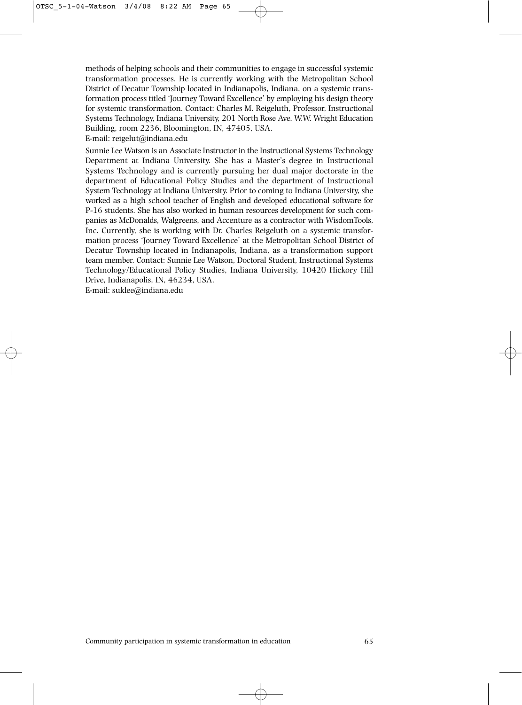methods of helping schools and their communities to engage in successful systemic transformation processes. He is currently working with the Metropolitan School District of Decatur Township located in Indianapolis, Indiana, on a systemic transformation process titled 'Journey Toward Excellence' by employing his design theory for systemic transformation. Contact: Charles M. Reigeluth, Professor, Instructional Systems Technology, Indiana University, 201 North Rose Ave. W.W. Wright Education Building, room 2236, Bloomington, IN, 47405, USA.

E-mail: reigelut@indiana.edu

Sunnie Lee Watson is an Associate Instructor in the Instructional Systems Technology Department at Indiana University. She has a Master's degree in Instructional Systems Technology and is currently pursuing her dual major doctorate in the department of Educational Policy Studies and the department of Instructional System Technology at Indiana University. Prior to coming to Indiana University, she worked as a high school teacher of English and developed educational software for P-16 students. She has also worked in human resources development for such companies as McDonalds, Walgreens, and Accenture as a contractor with WisdomTools, Inc. Currently, she is working with Dr. Charles Reigeluth on a systemic transformation process 'Journey Toward Excellence' at the Metropolitan School District of Decatur Township located in Indianapolis, Indiana, as a transformation support team member. Contact: Sunnie Lee Watson, Doctoral Student, Instructional Systems Technology/Educational Policy Studies, Indiana University, 10420 Hickory Hill Drive, Indianapolis, IN, 46234, USA.

E-mail: suklee@indiana.edu